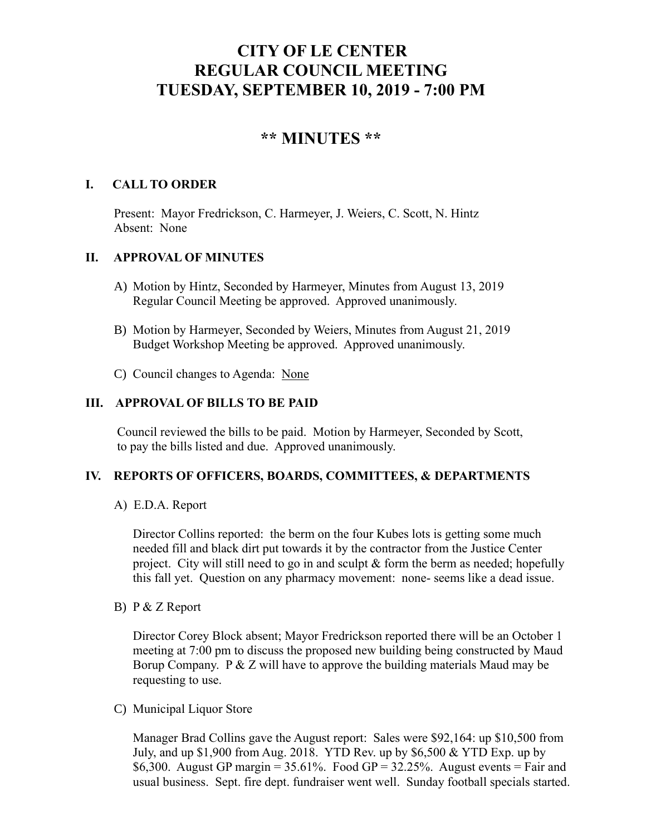# **CITY OF LE CENTER REGULAR COUNCIL MEETING TUESDAY, SEPTEMBER 10, 2019 - 7:00 PM**

## **\*\* MINUTES \*\***

## **I. CALL TO ORDER**

Present: Mayor Fredrickson, C. Harmeyer, J. Weiers, C. Scott, N. Hintz Absent: None

## **II. APPROVAL OF MINUTES**

- A) Motion by Hintz, Seconded by Harmeyer, Minutes from August 13, 2019 Regular Council Meeting be approved. Approved unanimously.
- B) Motion by Harmeyer, Seconded by Weiers, Minutes from August 21, 2019 Budget Workshop Meeting be approved. Approved unanimously.
- C) Council changes to Agenda: None

## **III. APPROVAL OF BILLS TO BE PAID**

Council reviewed the bills to be paid. Motion by Harmeyer, Seconded by Scott, to pay the bills listed and due. Approved unanimously.

## **IV. REPORTS OF OFFICERS, BOARDS, COMMITTEES, & DEPARTMENTS**

A) E.D.A. Report

 Director Collins reported: the berm on the four Kubes lots is getting some much needed fill and black dirt put towards it by the contractor from the Justice Center project. City will still need to go in and sculpt & form the berm as needed; hopefully this fall yet. Question on any pharmacy movement: none- seems like a dead issue.

B) P & Z Report

Director Corey Block absent; Mayor Fredrickson reported there will be an October 1 meeting at 7:00 pm to discuss the proposed new building being constructed by Maud Borup Company. P & Z will have to approve the building materials Maud may be requesting to use.

C) Municipal Liquor Store

Manager Brad Collins gave the August report: Sales were \$92,164: up \$10,500 from July, and up \$1,900 from Aug. 2018. YTD Rev. up by \$6,500 & YTD Exp. up by \$6,300. August GP margin =  $35.61\%$ . Food GP =  $32.25\%$ . August events = Fair and usual business. Sept. fire dept. fundraiser went well. Sunday football specials started.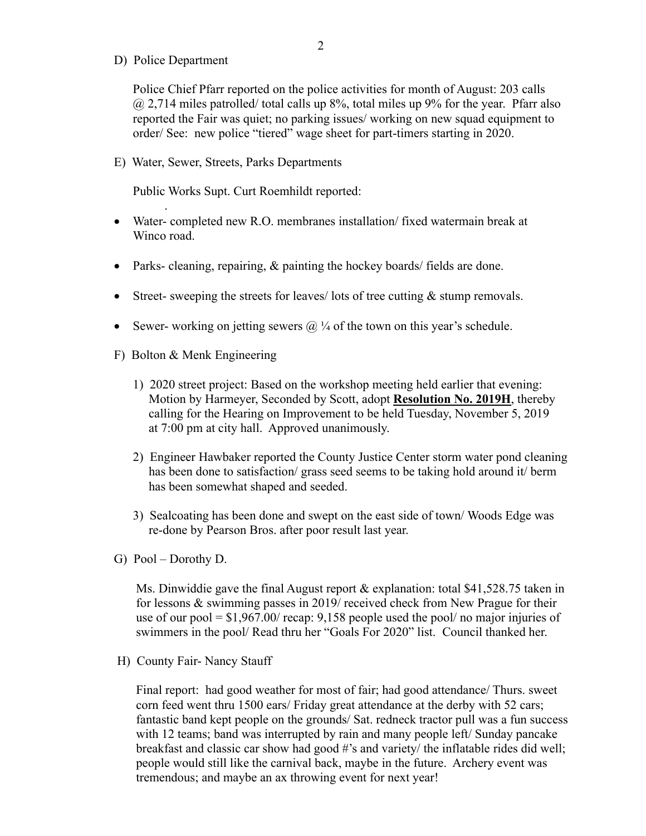D) Police Department

.

Police Chief Pfarr reported on the police activities for month of August: 203 calls  $@$  2,714 miles patrolled/ total calls up 8%, total miles up 9% for the year. Pfarr also reported the Fair was quiet; no parking issues/ working on new squad equipment to order/ See: new police "tiered" wage sheet for part-timers starting in 2020.

E) Water, Sewer, Streets, Parks Departments

Public Works Supt. Curt Roemhildt reported:

- Water- completed new R.O. membranes installation/ fixed watermain break at Winco road.
- Parks- cleaning, repairing, & painting the hockey boards/ fields are done.
- Street- sweeping the streets for leaves/ lots of tree cutting & stump removals.
- Sewer- working on jetting sewers  $\omega/4$  of the town on this year's schedule.
- F) Bolton & Menk Engineering
	- 1) 2020 street project: Based on the workshop meeting held earlier that evening: Motion by Harmeyer, Seconded by Scott, adopt **Resolution No. 2019H**, thereby calling for the Hearing on Improvement to be held Tuesday, November 5, 2019 at 7:00 pm at city hall. Approved unanimously.
	- 2) Engineer Hawbaker reported the County Justice Center storm water pond cleaning has been done to satisfaction/ grass seed seems to be taking hold around it/ berm has been somewhat shaped and seeded.
	- 3) Sealcoating has been done and swept on the east side of town/ Woods Edge was re-done by Pearson Bros. after poor result last year.
- G) Pool Dorothy D.

 Ms. Dinwiddie gave the final August report & explanation: total \$41,528.75 taken in for lessons & swimming passes in 2019/ received check from New Prague for their use of our pool = \$1,967.00/ recap: 9,158 people used the pool/ no major injuries of swimmers in the pool/ Read thru her "Goals For 2020" list. Council thanked her.

H) County Fair- Nancy Stauff

 Final report: had good weather for most of fair; had good attendance/ Thurs. sweet corn feed went thru 1500 ears/ Friday great attendance at the derby with 52 cars; fantastic band kept people on the grounds/ Sat. redneck tractor pull was a fun success with 12 teams; band was interrupted by rain and many people left/ Sunday pancake breakfast and classic car show had good #'s and variety/ the inflatable rides did well; people would still like the carnival back, maybe in the future. Archery event was tremendous; and maybe an ax throwing event for next year!